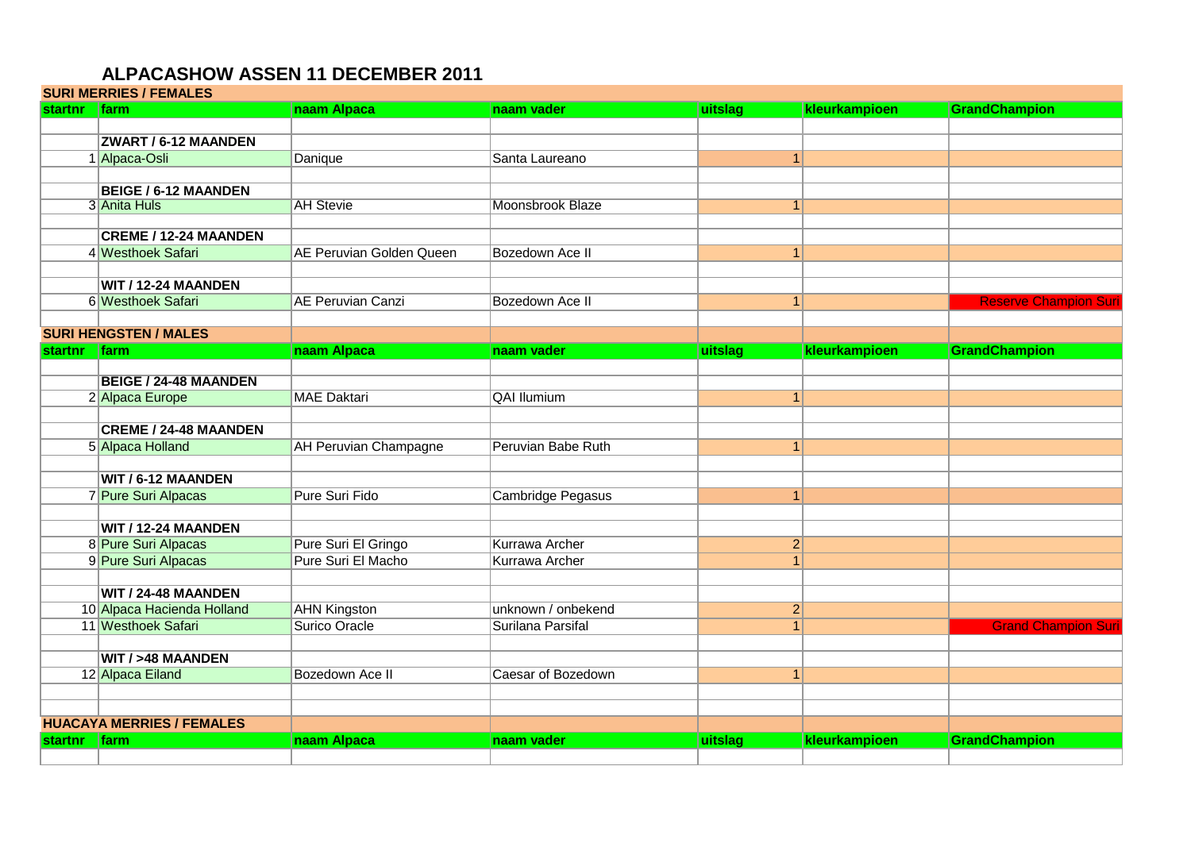### **ALPACASHOW ASSEN 11 DECEMBER 2011**

|                | <b>SURI MERRIES / FEMALES</b>    |                                 |                         |         |                  |                              |
|----------------|----------------------------------|---------------------------------|-------------------------|---------|------------------|------------------------------|
| startnr farm   |                                  | naam Alpaca                     | naam vader              | uitslag | kleurkampioen    | <b>GrandChampion</b>         |
|                |                                  |                                 |                         |         |                  |                              |
|                | <b>ZWART / 6-12 MAANDEN</b>      |                                 |                         |         |                  |                              |
|                | 1 Alpaca-Osli                    | Danique                         | Santa Laureano          |         | 1                |                              |
|                |                                  |                                 |                         |         |                  |                              |
|                | <b>BEIGE / 6-12 MAANDEN</b>      |                                 |                         |         |                  |                              |
|                | 3 Anita Huls                     | <b>AH Stevie</b>                | <b>Moonsbrook Blaze</b> |         | $\overline{1}$   |                              |
|                |                                  |                                 |                         |         |                  |                              |
|                | <b>CREME / 12-24 MAANDEN</b>     |                                 |                         |         |                  |                              |
|                | 4 Westhoek Safari                | <b>AE Peruvian Golden Queen</b> | Bozedown Ace II         |         | $\mathbf{1}$     |                              |
|                |                                  |                                 |                         |         |                  |                              |
|                | WIT / 12-24 MAANDEN              |                                 |                         |         |                  |                              |
|                | 6 Westhoek Safari                | <b>AE Peruvian Canzi</b>        | Bozedown Ace II         |         | $\vert$ 1        | <b>Reserve Champion Suri</b> |
|                |                                  |                                 |                         |         |                  |                              |
|                | <b>SURI HENGSTEN / MALES</b>     |                                 |                         |         |                  |                              |
| <b>startnr</b> | farm                             | naam Alpaca                     | naam vader              | uitslag | kleurkampioen    | <b>GrandChampion</b>         |
|                |                                  |                                 |                         |         |                  |                              |
|                | <b>BEIGE / 24-48 MAANDEN</b>     |                                 |                         |         |                  |                              |
|                | 2 Alpaca Europe                  | <b>MAE Daktari</b>              | <b>QAI Ilumium</b>      |         | $\mathbf{1}$     |                              |
|                |                                  |                                 |                         |         |                  |                              |
|                | <b>CREME / 24-48 MAANDEN</b>     |                                 |                         |         |                  |                              |
|                | 5 Alpaca Holland                 | <b>AH Peruvian Champagne</b>    | Peruvian Babe Ruth      |         | $\vert$ 1        |                              |
|                |                                  |                                 |                         |         |                  |                              |
|                | WIT / 6-12 MAANDEN               |                                 |                         |         |                  |                              |
|                | 7 Pure Suri Alpacas              | Pure Suri Fido                  | Cambridge Pegasus       |         | $\vert$ 1        |                              |
|                |                                  |                                 |                         |         |                  |                              |
|                | WIT / 12-24 MAANDEN              |                                 |                         |         |                  |                              |
|                | 8 Pure Suri Alpacas              | Pure Suri El Gringo             | <b>Kurrawa Archer</b>   |         | $\left 2\right $ |                              |
|                | 9 Pure Suri Alpacas              | Pure Suri El Macho              | <b>Kurrawa Archer</b>   |         | $\overline{1}$   |                              |
|                |                                  |                                 |                         |         |                  |                              |
|                | WIT / 24-48 MAANDEN              |                                 |                         |         |                  |                              |
|                | 10 Alpaca Hacienda Holland       | <b>AHN Kingston</b>             | unknown / onbekend      |         | $\vert$ 2        |                              |
|                | 11 Westhoek Safari               | Surico Oracle                   | Surilana Parsifal       |         | $\vert$ 1        | <b>Grand Champion Suri</b>   |
|                |                                  |                                 |                         |         |                  |                              |
|                | <b>WIT / &gt;48 MAANDEN</b>      |                                 |                         |         |                  |                              |
|                | 12 Alpaca Eiland                 | Bozedown Ace II                 | Caesar of Bozedown      |         | $\vert$ 1        |                              |
|                |                                  |                                 |                         |         |                  |                              |
|                |                                  |                                 |                         |         |                  |                              |
|                | <b>HUACAYA MERRIES / FEMALES</b> |                                 |                         |         |                  |                              |
| startnr        | <b>Ifarm</b>                     | naam Alpaca                     | naam vader              | uitslag | kleurkampioen    | GrandChampion                |
|                |                                  |                                 |                         |         |                  |                              |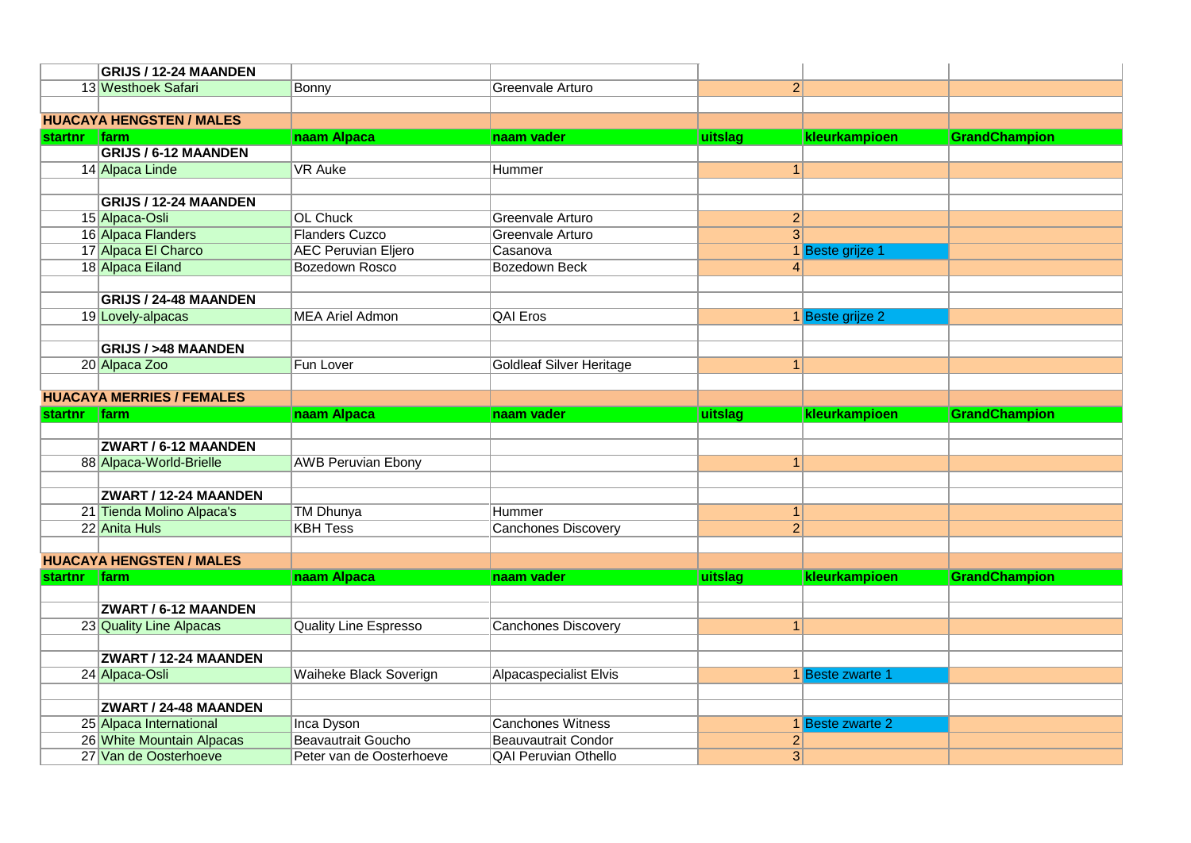|                | GRIJS / 12-24 MAANDEN                              |                                                       |                                                           |                                  |                  |               |
|----------------|----------------------------------------------------|-------------------------------------------------------|-----------------------------------------------------------|----------------------------------|------------------|---------------|
|                | 13 Westhoek Safari                                 | Bonny                                                 | Greenvale Arturo                                          | $\overline{2}$                   |                  |               |
|                |                                                    |                                                       |                                                           |                                  |                  |               |
|                | <b>HUACAYA HENGSTEN / MALES</b>                    |                                                       |                                                           |                                  |                  |               |
| <b>startnr</b> | <b>farm</b>                                        | naam Alpaca                                           | naam vader                                                | uitslag                          | kleurkampioen    | GrandChampion |
|                | <b>GRIJS / 6-12 MAANDEN</b>                        |                                                       |                                                           |                                  |                  |               |
|                | 14 Alpaca Linde                                    | <b>VR Auke</b>                                        | Hummer                                                    | $\mathbf{1}$                     |                  |               |
|                |                                                    |                                                       |                                                           |                                  |                  |               |
|                | GRIJS / 12-24 MAANDEN                              |                                                       |                                                           |                                  |                  |               |
|                | 15 Alpaca-Osli                                     | <b>OL Chuck</b>                                       | Greenvale Arturo                                          | $\overline{2}$                   |                  |               |
|                | 16 Alpaca Flanders                                 | <b>Flanders Cuzco</b>                                 | Greenvale Arturo                                          | $\overline{3}$                   |                  |               |
|                | 17 Alpaca El Charco                                | <b>AEC Peruvian Eljero</b>                            | Casanova                                                  |                                  | 1 Beste grijze 1 |               |
|                | 18 Alpaca Eiland                                   | Bozedown Rosco                                        | <b>Bozedown Beck</b>                                      | 4                                |                  |               |
|                |                                                    |                                                       |                                                           |                                  |                  |               |
|                | <b>GRIJS / 24-48 MAANDEN</b>                       |                                                       |                                                           |                                  |                  |               |
|                | 19 Lovely-alpacas                                  | <b>MEA Ariel Admon</b>                                | <b>QAI Eros</b>                                           |                                  | 1 Beste grijze 2 |               |
|                |                                                    |                                                       |                                                           |                                  |                  |               |
|                | <b>GRIJS / &gt;48 MAANDEN</b>                      |                                                       |                                                           |                                  |                  |               |
|                | 20 Alpaca Zoo                                      | Fun Lover                                             | <b>Goldleaf Silver Heritage</b>                           | $\mathbf{1}$                     |                  |               |
|                |                                                    |                                                       |                                                           |                                  |                  |               |
|                | <b>HUACAYA MERRIES / FEMALES</b>                   |                                                       |                                                           |                                  |                  |               |
|                |                                                    |                                                       |                                                           |                                  |                  |               |
| <b>startnr</b> | <b>Ifarm</b>                                       | naam Alpaca                                           | naam vader                                                | uitslag                          | kleurkampioen    | GrandChampion |
|                |                                                    |                                                       |                                                           |                                  |                  |               |
|                | <b>ZWART / 6-12 MAANDEN</b>                        |                                                       |                                                           |                                  |                  |               |
|                | 88 Alpaca-World-Brielle                            | <b>AWB Peruvian Ebony</b>                             |                                                           | 1 <sup>1</sup>                   |                  |               |
|                |                                                    |                                                       |                                                           |                                  |                  |               |
|                | ZWART / 12-24 MAANDEN                              |                                                       |                                                           |                                  |                  |               |
|                | 21 Tienda Molino Alpaca's                          | <b>TM Dhunya</b>                                      | Hummer                                                    | $\mathbf{1}$                     |                  |               |
|                | 22 Anita Huls                                      | <b>KBH Tess</b>                                       | <b>Canchones Discovery</b>                                | $\overline{2}$                   |                  |               |
|                |                                                    |                                                       |                                                           |                                  |                  |               |
|                | <b>HUACAYA HENGSTEN / MALES</b>                    |                                                       |                                                           |                                  |                  |               |
| startnr farm   |                                                    | naam Alpaca                                           | naam vader                                                | uitslag                          | kleurkampioen    | GrandChampion |
|                |                                                    |                                                       |                                                           |                                  |                  |               |
|                | ZWART / 6-12 MAANDEN                               |                                                       |                                                           |                                  |                  |               |
|                | 23 Quality Line Alpacas                            | <b>Quality Line Espresso</b>                          | <b>Canchones Discovery</b>                                | $\mathbf{1}$                     |                  |               |
|                |                                                    |                                                       |                                                           |                                  |                  |               |
|                | ZWART / 12-24 MAANDEN                              |                                                       |                                                           |                                  |                  |               |
|                | 24 Alpaca-Osli                                     | Waiheke Black Soverign                                | Alpacaspecialist Elvis                                    |                                  | 1 Beste zwarte 1 |               |
|                |                                                    |                                                       |                                                           |                                  |                  |               |
|                | ZWART / 24-48 MAANDEN                              |                                                       |                                                           |                                  |                  |               |
|                | 25 Alpaca International                            | Inca Dyson                                            | <b>Canchones Witness</b>                                  |                                  | 1 Beste zwarte 2 |               |
|                | 26 White Mountain Alpacas<br>27 Van de Oosterhoeve | <b>Beavautrait Goucho</b><br>Peter van de Oosterhoeve | <b>Beauvautrait Condor</b><br><b>QAI Peruvian Othello</b> | $\overline{2}$<br>$\overline{3}$ |                  |               |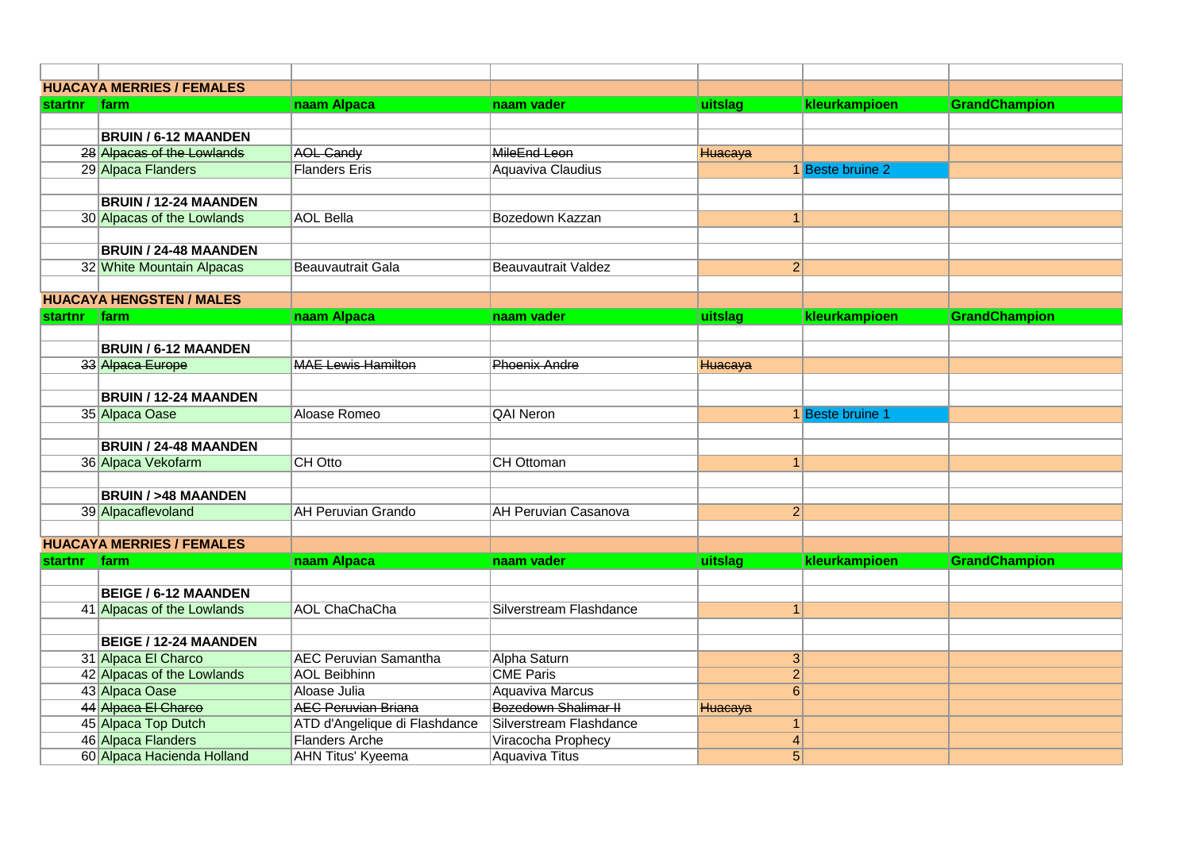|                | <b>HUACAYA MERRIES / FEMALES</b> |                               |                             |                |                  |                      |
|----------------|----------------------------------|-------------------------------|-----------------------------|----------------|------------------|----------------------|
| startnr   farm |                                  | naam Alpaca                   | naam vader                  | uitslag        | kleurkampioen    | GrandChampion        |
|                |                                  |                               |                             |                |                  |                      |
|                | <b>BRUIN / 6-12 MAANDEN</b>      |                               |                             |                |                  |                      |
|                | 28 Alpacas of the Lowlands       | <b>AOL Candy</b>              | <b>MileEnd Leon</b>         | Huacaya        |                  |                      |
|                | 29 Alpaca Flanders               | <b>Flanders Eris</b>          | Aquaviva Claudius           |                | 1 Beste bruine 2 |                      |
|                |                                  |                               |                             |                |                  |                      |
|                | <b>BRUIN / 12-24 MAANDEN</b>     |                               |                             |                |                  |                      |
|                | 30 Alpacas of the Lowlands       | <b>AOL Bella</b>              | Bozedown Kazzan             | $\mathbf{1}$   |                  |                      |
|                |                                  |                               |                             |                |                  |                      |
|                | <b>BRUIN / 24-48 MAANDEN</b>     |                               |                             |                |                  |                      |
|                | 32 White Mountain Alpacas        | <b>Beauvautrait Gala</b>      | <b>Beauvautrait Valdez</b>  | 2              |                  |                      |
|                |                                  |                               |                             |                |                  |                      |
|                | <b>HUACAYA HENGSTEN / MALES</b>  |                               |                             |                |                  |                      |
| startnr farm   |                                  | naam Alpaca                   | naam vader                  | uitslag        | kleurkampioen    | <b>GrandChampion</b> |
|                |                                  |                               |                             |                |                  |                      |
|                | <b>BRUIN / 6-12 MAANDEN</b>      |                               |                             |                |                  |                      |
|                | 33 Alpaca Europe                 | <b>MAE Lewis Hamilton</b>     | <b>Phoenix Andre</b>        | Huacaya        |                  |                      |
|                |                                  |                               |                             |                |                  |                      |
|                | <b>BRUIN / 12-24 MAANDEN</b>     |                               |                             |                |                  |                      |
|                | 35 Alpaca Oase                   | Aloase Romeo                  | <b>QAI Neron</b>            |                | 1 Beste bruine 1 |                      |
|                |                                  |                               |                             |                |                  |                      |
|                | <b>BRUIN / 24-48 MAANDEN</b>     | CH Otto                       | <b>CH Ottoman</b>           |                |                  |                      |
|                | 36 Alpaca Vekofarm               |                               |                             | 1              |                  |                      |
|                | <b>BRUIN / &gt;48 MAANDEN</b>    |                               |                             |                |                  |                      |
|                | 39 Alpacaflevoland               | <b>AH Peruvian Grando</b>     | <b>AH Peruvian Casanova</b> | $\overline{2}$ |                  |                      |
|                |                                  |                               |                             |                |                  |                      |
|                | <b>HUACAYA MERRIES / FEMALES</b> |                               |                             |                |                  |                      |
| <b>startnr</b> | farm                             | naam Alpaca                   | naam vader                  | uitslag        | kleurkampioen    | GrandChampion        |
|                |                                  |                               |                             |                |                  |                      |
|                | <b>BEIGE / 6-12 MAANDEN</b>      |                               |                             |                |                  |                      |
|                | 41 Alpacas of the Lowlands       | <b>AOL ChaChaCha</b>          | Silverstream Flashdance     | $\mathbf{1}$   |                  |                      |
|                |                                  |                               |                             |                |                  |                      |
|                | <b>BEIGE / 12-24 MAANDEN</b>     |                               |                             |                |                  |                      |
|                | 31 Alpaca El Charco              | <b>AEC Peruvian Samantha</b>  | Alpha Saturn                | $\mathbf{3}$   |                  |                      |
|                | 42 Alpacas of the Lowlands       | <b>AOL Beibhinn</b>           | <b>CME Paris</b>            | $\overline{2}$ |                  |                      |
|                | 43 Alpaca Oase                   | Aloase Julia                  | <b>Aquaviva Marcus</b>      | 6              |                  |                      |
|                | 44 Alpaca El Charco              | <b>AEC Peruvian Briana</b>    | Bozedown Shalimar II        | Huacaya        |                  |                      |
|                | 45 Alpaca Top Dutch              | ATD d'Angelique di Flashdance | Silverstream Flashdance     | $\mathbf{1}$   |                  |                      |
|                | 46 Alpaca Flanders               | <b>Flanders Arche</b>         | Viracocha Prophecy          | $\overline{4}$ |                  |                      |
|                | 60 Alpaca Hacienda Holland       | <b>AHN Titus' Kyeema</b>      | <b>Aquaviva Titus</b>       | $\overline{5}$ |                  |                      |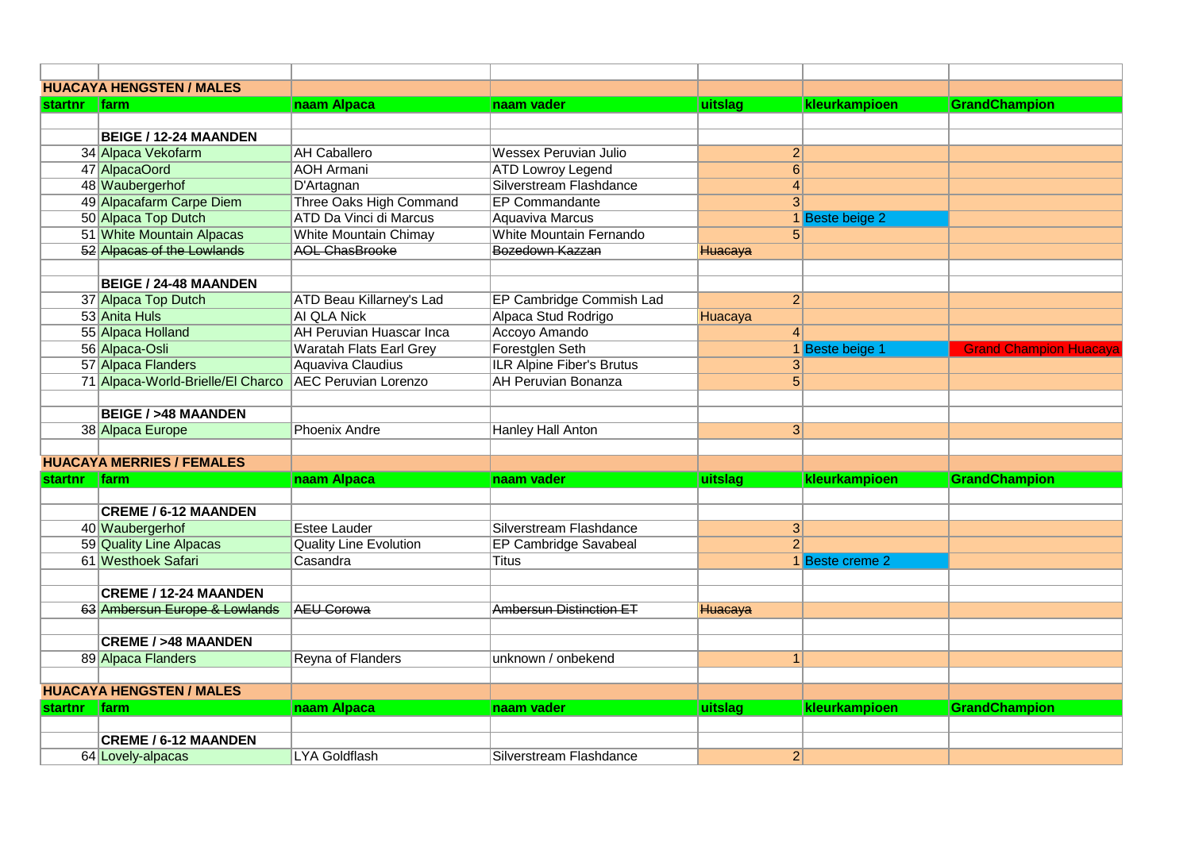|                | <b>HUACAYA HENGSTEN / MALES</b>                          |                                 |                                  |                 |                 |                               |
|----------------|----------------------------------------------------------|---------------------------------|----------------------------------|-----------------|-----------------|-------------------------------|
| <b>startnr</b> | <b>Ifarm</b>                                             | naam Alpaca                     | naam vader                       | uitslag         | kleurkampioen   | <b>GrandChampion</b>          |
|                |                                                          |                                 |                                  |                 |                 |                               |
|                | <b>BEIGE / 12-24 MAANDEN</b>                             |                                 |                                  |                 |                 |                               |
|                | 34 Alpaca Vekofarm                                       | <b>AH Caballero</b>             | <b>Wessex Peruvian Julio</b>     | $\overline{2}$  |                 |                               |
|                | 47 AlpacaOord                                            | <b>AOH Armani</b>               | <b>ATD Lowroy Legend</b>         | 6               |                 |                               |
|                | 48 Waubergerhof                                          | D'Artagnan                      | Silverstream Flashdance          | $\vert 4 \vert$ |                 |                               |
|                | 49 Alpacafarm Carpe Diem                                 | Three Oaks High Command         | <b>EP Commandante</b>            | 3 <sup>l</sup>  |                 |                               |
|                | 50 Alpaca Top Dutch                                      | <b>ATD Da Vinci di Marcus</b>   | <b>Aquaviva Marcus</b>           |                 | 1 Beste beige 2 |                               |
|                | 51 White Mountain Alpacas                                | <b>White Mountain Chimay</b>    | White Mountain Fernando          | 5 <sup>1</sup>  |                 |                               |
|                | 52 Alpacas of the Lowlands                               | <b>AOL ChasBrooke</b>           | Bozedown Kazzan                  | Huacaya         |                 |                               |
|                |                                                          |                                 |                                  |                 |                 |                               |
|                | <b>BEIGE / 24-48 MAANDEN</b>                             |                                 |                                  |                 |                 |                               |
|                | 37 Alpaca Top Dutch                                      | ATD Beau Killarney's Lad        | EP Cambridge Commish Lad         | $\overline{2}$  |                 |                               |
|                | 53 Anita Huls                                            | <b>AI QLA Nick</b>              | Alpaca Stud Rodrigo              | Huacaya         |                 |                               |
|                | 55 Alpaca Holland                                        | <b>AH Peruvian Huascar Inca</b> | Accoyo Amando                    | 4 <sup>1</sup>  |                 |                               |
|                | 56 Alpaca-Osli                                           | <b>Waratah Flats Earl Grey</b>  | Forestglen Seth                  |                 | 1 Beste beige 1 | <b>Grand Champion Huacaya</b> |
|                | 57 Alpaca Flanders                                       | Aquaviva Claudius               | <b>ILR Alpine Fiber's Brutus</b> | 3 <sup>2</sup>  |                 |                               |
|                | 71 Alpaca-World-Brielle/El Charco   AEC Peruvian Lorenzo |                                 | <b>AH Peruvian Bonanza</b>       | 5 <sup>1</sup>  |                 |                               |
|                |                                                          |                                 |                                  |                 |                 |                               |
|                | <b>BEIGE / &gt;48 MAANDEN</b>                            |                                 |                                  |                 |                 |                               |
|                | 38 Alpaca Europe                                         | <b>Phoenix Andre</b>            | <b>Hanley Hall Anton</b>         | 3 <sup>1</sup>  |                 |                               |
|                |                                                          |                                 |                                  |                 |                 |                               |
|                | <b>HUACAYA MERRIES / FEMALES</b>                         |                                 |                                  |                 |                 |                               |
| startnr farm   |                                                          | naam Alpaca                     | naam vader                       | uitslag         | kleurkampioen   | GrandChampion                 |
|                |                                                          |                                 |                                  |                 |                 |                               |
|                | <b>CREME / 6-12 MAANDEN</b>                              |                                 |                                  |                 |                 |                               |
|                | 40 Waubergerhof                                          | <b>Estee Lauder</b>             | Silverstream Flashdance          | 3 <sup>2</sup>  |                 |                               |
|                | 59 Quality Line Alpacas                                  | <b>Quality Line Evolution</b>   | EP Cambridge Savabeal            | $\overline{2}$  |                 |                               |
|                | 61 Westhoek Safari                                       | Casandra                        | Titus                            |                 | 1 Beste creme 2 |                               |
|                | <b>CREME / 12-24 MAANDEN</b>                             |                                 |                                  |                 |                 |                               |
|                |                                                          |                                 |                                  |                 |                 |                               |
|                | 63 Ambersun Europe & Lowlands                            | <b>AEU Corowa</b>               | <b>Ambersun Distinction ET</b>   | Huacaya         |                 |                               |
|                | <b>CREME / &gt;48 MAANDEN</b>                            |                                 |                                  |                 |                 |                               |
|                | 89 Alpaca Flanders                                       | Reyna of Flanders               | unknown / onbekend               | $\overline{1}$  |                 |                               |
|                |                                                          |                                 |                                  |                 |                 |                               |
|                | <b>HUACAYA HENGSTEN / MALES</b>                          |                                 |                                  |                 |                 |                               |
| <b>startnr</b> | <b>Ifarm</b>                                             | naam Alpaca                     | naam vader                       | uitslag         | kleurkampioen   | <b>GrandChampion</b>          |
|                |                                                          |                                 |                                  |                 |                 |                               |
|                | <b>CREME / 6-12 MAANDEN</b>                              |                                 |                                  |                 |                 |                               |
|                | 64 Lovely-alpacas                                        | <b>LYA Goldflash</b>            | Silverstream Flashdance          | $\overline{2}$  |                 |                               |
|                |                                                          |                                 |                                  |                 |                 |                               |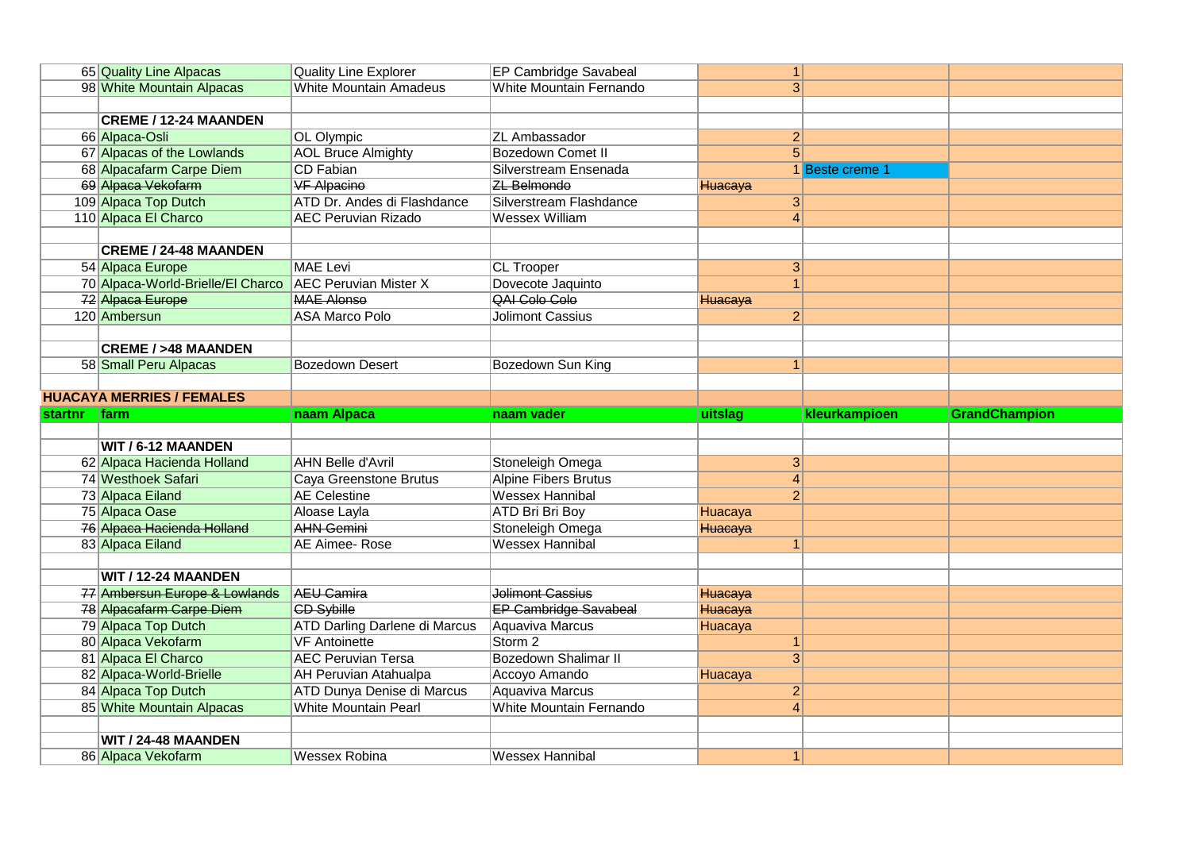|              | 65 Quality Line Alpacas                   | <b>Quality Line Explorer</b>         | EP Cambridge Savabeal        | 1 <sup>1</sup> |                 |                      |
|--------------|-------------------------------------------|--------------------------------------|------------------------------|----------------|-----------------|----------------------|
|              | 98 White Mountain Alpacas                 | <b>White Mountain Amadeus</b>        | White Mountain Fernando      | $\overline{3}$ |                 |                      |
|              |                                           |                                      |                              |                |                 |                      |
|              | <b>CREME / 12-24 MAANDEN</b>              |                                      |                              |                |                 |                      |
|              | 66 Alpaca-Osli                            | OL Olympic                           | <b>ZL Ambassador</b>         | $\mathbf{2}$   |                 |                      |
|              | 67 Alpacas of the Lowlands                | <b>AOL Bruce Almighty</b>            | <b>Bozedown Comet II</b>     | $\overline{5}$ |                 |                      |
|              | 68 Alpacafarm Carpe Diem                  | <b>CD Fabian</b>                     | Silverstream Ensenada        |                | 1 Beste creme 1 |                      |
|              | 69 Alpaca Vekofarm                        | <b>VF Alpacino</b>                   | <b>ZL</b> Belmondo           | Huacaya        |                 |                      |
|              | 109 Alpaca Top Dutch                      | ATD Dr. Andes di Flashdance          | Silverstream Flashdance      | 3 <sup>2</sup> |                 |                      |
|              | 110 Alpaca El Charco                      | <b>AEC Peruvian Rizado</b>           | <b>Wessex William</b>        | $\overline{4}$ |                 |                      |
|              |                                           |                                      |                              |                |                 |                      |
|              | <b>CREME / 24-48 MAANDEN</b>              |                                      |                              |                |                 |                      |
|              | 54 Alpaca Europe                          | <b>MAE Levi</b>                      | <b>CL Trooper</b>            | 3 <sup>2</sup> |                 |                      |
|              | 70 Alpaca-World-Brielle/El Charco         | <b>AEC Peruvian Mister X</b>         | Dovecote Jaquinto            | 1              |                 |                      |
|              | 72 Alpaca Europe                          | <b>MAE Alonso</b>                    | <b>QAI Colo Colo</b>         | Huacaya        |                 |                      |
|              | 120 Ambersun                              | <b>ASA Marco Polo</b>                | <b>Jolimont Cassius</b>      | $\overline{2}$ |                 |                      |
|              |                                           |                                      |                              |                |                 |                      |
|              | <b>CREME / &gt;48 MAANDEN</b>             |                                      |                              |                |                 |                      |
|              | 58 Small Peru Alpacas                     | <b>Bozedown Desert</b>               | Bozedown Sun King            | 1              |                 |                      |
|              |                                           |                                      |                              |                |                 |                      |
|              | <b>HUACAYA MERRIES / FEMALES</b>          |                                      |                              |                |                 |                      |
|              |                                           |                                      |                              |                |                 |                      |
| startnr farm |                                           | naam Alpaca                          | naam vader                   | uitslag        | kleurkampioen   | <b>GrandChampion</b> |
|              |                                           |                                      |                              |                |                 |                      |
|              | WIT / 6-12 MAANDEN                        |                                      |                              |                |                 |                      |
|              | 62 Alpaca Hacienda Holland                | <b>AHN Belle d'Avril</b>             | Stoneleigh Omega             | 3              |                 |                      |
|              | 74 Westhoek Safari                        | Caya Greenstone Brutus               | <b>Alpine Fibers Brutus</b>  | $\vert$        |                 |                      |
|              | 73 Alpaca Eiland                          | <b>AE</b> Celestine                  | <b>Wessex Hannibal</b>       | $\overline{2}$ |                 |                      |
|              | 75 Alpaca Oase                            | Aloase Layla                         | <b>ATD Bri Bri Boy</b>       | Huacaya        |                 |                      |
|              | 76 Alpaca Hacienda Holland                | <b>AHN Gemini</b>                    | Stoneleigh Omega             | Huacaya        |                 |                      |
|              | 83 Alpaca Eiland                          | <b>AE Aimee- Rose</b>                | <b>Wessex Hannibal</b>       | 1              |                 |                      |
|              |                                           |                                      |                              |                |                 |                      |
|              | <b>WIT / 12-24 MAANDEN</b>                |                                      |                              |                |                 |                      |
|              | 77 Ambersun Europe & Lowlands             | <b>AEU Camira</b>                    | <b>Jolimont Cassius</b>      | Huacaya        |                 |                      |
|              | 78 Alpacafarm Carpe Diem                  | <b>CD Sybille</b>                    | <b>EP Cambridge Savabeal</b> | Huacaya        |                 |                      |
|              | 79 Alpaca Top Dutch                       | <b>ATD Darling Darlene di Marcus</b> | Aquaviva Marcus              | Huacaya        |                 |                      |
|              | 80 Alpaca Vekofarm                        | <b>VF</b> Antoinette                 | Storm <sub>2</sub>           | 1 <sup>1</sup> |                 |                      |
|              | 81 Alpaca El Charco                       | <b>AEC Peruvian Tersa</b>            | Bozedown Shalimar II         | 3 <sup>1</sup> |                 |                      |
|              | 82 Alpaca-World-Brielle                   | <b>AH Peruvian Atahualpa</b>         | Accoyo Amando                | Huacaya        |                 |                      |
|              | 84 Alpaca Top Dutch                       | <b>ATD Dunya Denise di Marcus</b>    | <b>Aquaviva Marcus</b>       | $\overline{2}$ |                 |                      |
|              | 85 White Mountain Alpacas                 | <b>White Mountain Pearl</b>          | White Mountain Fernando      | $\vert$        |                 |                      |
|              |                                           |                                      |                              |                |                 |                      |
|              | WIT / 24-48 MAANDEN<br>86 Alpaca Vekofarm | <b>Wessex Robina</b>                 | <b>Wessex Hannibal</b>       | 1 <sup>1</sup> |                 |                      |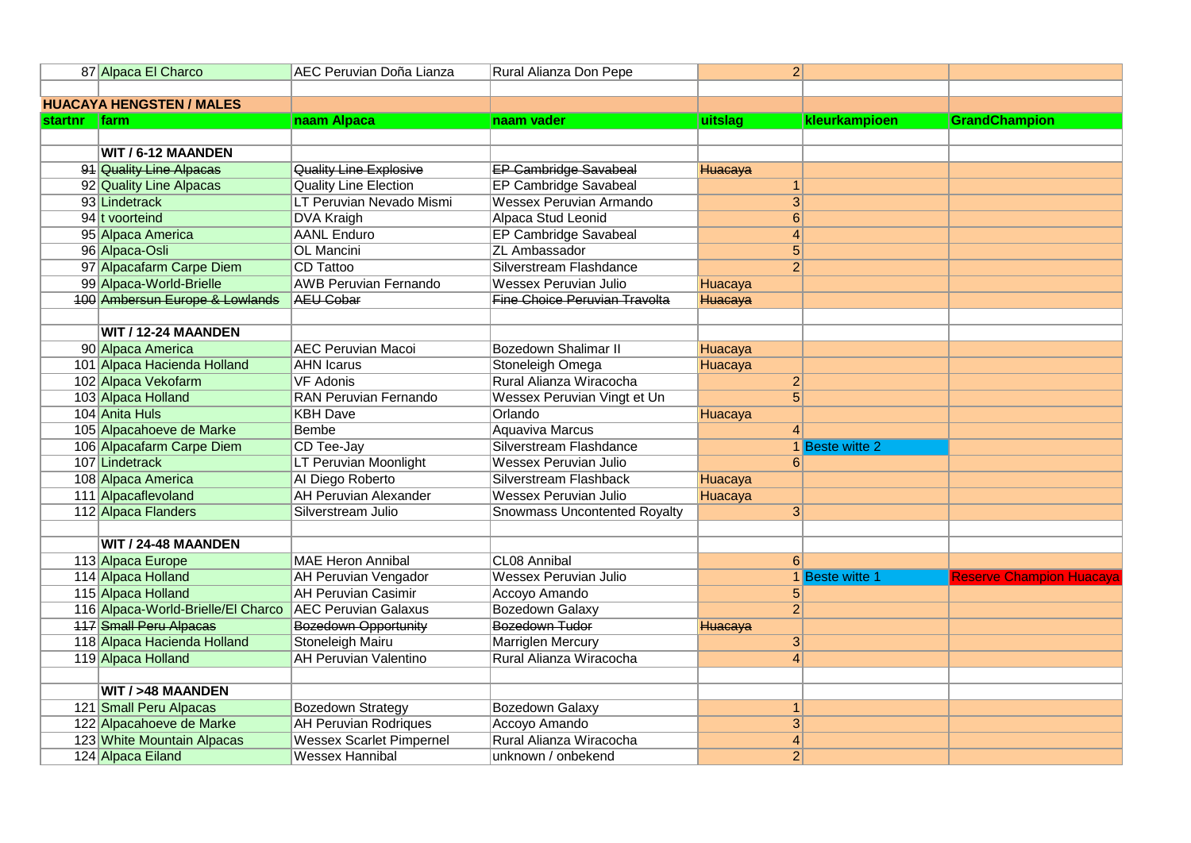|                                 | 87 Alpaca El Charco                                     | AEC Peruvian Doña Lianza        | Rural Alianza Don Pepe               | $\overline{2}$   |                 |                         |
|---------------------------------|---------------------------------------------------------|---------------------------------|--------------------------------------|------------------|-----------------|-------------------------|
|                                 |                                                         |                                 |                                      |                  |                 |                         |
| <b>HUACAYA HENGSTEN / MALES</b> |                                                         |                                 |                                      |                  |                 |                         |
| startnr                         | <b>Ifarm</b>                                            | naam Alpaca                     | naam vader                           | uitslag          | kleurkampioen   | <b>GrandChampion</b>    |
|                                 |                                                         |                                 |                                      |                  |                 |                         |
|                                 | WIT / 6-12 MAANDEN                                      |                                 |                                      |                  |                 |                         |
|                                 | 91 Quality Line Alpacas                                 | Quality Line Explosive          | <b>EP Cambridge Savabeal</b>         | Huacaya          |                 |                         |
|                                 | 92 Quality Line Alpacas                                 | <b>Quality Line Election</b>    | EP Cambridge Savabeal                | 1 <sup>1</sup>   |                 |                         |
|                                 | 93 Lindetrack                                           | LT Peruvian Nevado Mismi        | <b>Wessex Peruvian Armando</b>       | $\overline{3}$   |                 |                         |
|                                 | 94 t voorteind                                          | <b>DVA Kraigh</b>               | Alpaca Stud Leonid                   | 6                |                 |                         |
|                                 | 95 Alpaca America                                       | <b>AANL Enduro</b>              | EP Cambridge Savabeal                | $\vert$          |                 |                         |
|                                 | 96 Alpaca-Osli                                          | <b>OL Mancini</b>               | <b>ZL Ambassador</b>                 | $\overline{5}$   |                 |                         |
|                                 | 97 Alpacafarm Carpe Diem                                | CD Tattoo                       | Silverstream Flashdance              | $\overline{2}$   |                 |                         |
|                                 | 99 Alpaca-World-Brielle                                 | <b>AWB Peruvian Fernando</b>    | <b>Wessex Peruvian Julio</b>         | Huacaya          |                 |                         |
|                                 | 100 Ambersun Europe & Lowlands                          | <b>AEU Cobar</b>                | <b>Fine Choice Peruvian Travolta</b> | Huacaya          |                 |                         |
|                                 |                                                         |                                 |                                      |                  |                 |                         |
|                                 | WIT / 12-24 MAANDEN                                     |                                 |                                      |                  |                 |                         |
|                                 | 90 Alpaca America                                       | <b>AEC Peruvian Macoi</b>       | <b>Bozedown Shalimar II</b>          | Huacaya          |                 |                         |
|                                 | 101 Alpaca Hacienda Holland                             | <b>AHN Icarus</b>               | Stoneleigh Omega                     | Huacaya          |                 |                         |
|                                 | 102 Alpaca Vekofarm                                     | <b>VF Adonis</b>                | Rural Alianza Wiracocha              | $\mathbf{2}$     |                 |                         |
|                                 | 103 Alpaca Holland                                      | <b>RAN Peruvian Fernando</b>    | Wessex Peruvian Vingt et Un          | $\overline{5}$   |                 |                         |
|                                 | 104 Anita Huls                                          | <b>KBH Dave</b>                 | Orlando                              | Huacaya          |                 |                         |
|                                 | 105 Alpacahoeve de Marke                                | <b>Bembe</b>                    | <b>Aquaviva Marcus</b>               | 4                |                 |                         |
|                                 | 106 Alpacafarm Carpe Diem                               | CD Tee-Jay                      | Silverstream Flashdance              |                  | 1 Beste witte 2 |                         |
|                                 | 107 Lindetrack                                          | <b>LT Peruvian Moonlight</b>    | <b>Wessex Peruvian Julio</b>         | 6 <sup>1</sup>   |                 |                         |
|                                 | 108 Alpaca America                                      | Al Diego Roberto                | Silverstream Flashback               | Huacaya          |                 |                         |
|                                 | 111 Alpacaflevoland                                     | <b>AH Peruvian Alexander</b>    | <b>Wessex Peruvian Julio</b>         | Huacaya          |                 |                         |
|                                 | 112 Alpaca Flanders                                     | Silverstream Julio              | <b>Snowmass Uncontented Royalty</b>  | 3                |                 |                         |
|                                 |                                                         |                                 |                                      |                  |                 |                         |
|                                 | WIT / 24-48 MAANDEN                                     |                                 |                                      |                  |                 |                         |
|                                 | 113 Alpaca Europe                                       | <b>MAE Heron Annibal</b>        | CL08 Annibal                         | $6 \overline{6}$ |                 |                         |
|                                 | 114 Alpaca Holland                                      | <b>AH Peruvian Vengador</b>     | <b>Wessex Peruvian Julio</b>         |                  | 1 Beste witte 1 | Reserve Champion Huacav |
|                                 | 115 Alpaca Holland                                      | <b>AH Peruvian Casimir</b>      | Accoyo Amando                        | 5 <sup>1</sup>   |                 |                         |
|                                 | 116 Alpaca-World-Brielle/El Charco AEC Peruvian Galaxus |                                 | <b>Bozedown Galaxy</b>               | $\overline{2}$   |                 |                         |
|                                 | <b>117 Small Peru Alpacas</b>                           | <b>Bozedown Opportunity</b>     | Bozedown Tudor                       | Huacaya          |                 |                         |
|                                 | 118 Alpaca Hacienda Holland                             | <b>Stoneleigh Mairu</b>         | <b>Marriglen Mercury</b>             | 3                |                 |                         |
|                                 | 119 Alpaca Holland                                      | <b>AH Peruvian Valentino</b>    | Rural Alianza Wiracocha              | $\vert$          |                 |                         |
|                                 |                                                         |                                 |                                      |                  |                 |                         |
|                                 | <b>WIT / &gt;48 MAANDEN</b>                             |                                 |                                      |                  |                 |                         |
|                                 | 121 Small Peru Alpacas                                  | <b>Bozedown Strategy</b>        | <b>Bozedown Galaxy</b>               | $\mathbf{1}$     |                 |                         |
|                                 | 122 Alpacahoeve de Marke                                | <b>AH Peruvian Rodriques</b>    | Accoyo Amando                        | $\overline{3}$   |                 |                         |
|                                 | 123 White Mountain Alpacas                              | <b>Wessex Scarlet Pimpernel</b> | Rural Alianza Wiracocha              | $\vert 4 \vert$  |                 |                         |
|                                 | 124 Alpaca Eiland                                       | <b>Wessex Hannibal</b>          | unknown / onbekend                   | $\overline{2}$   |                 |                         |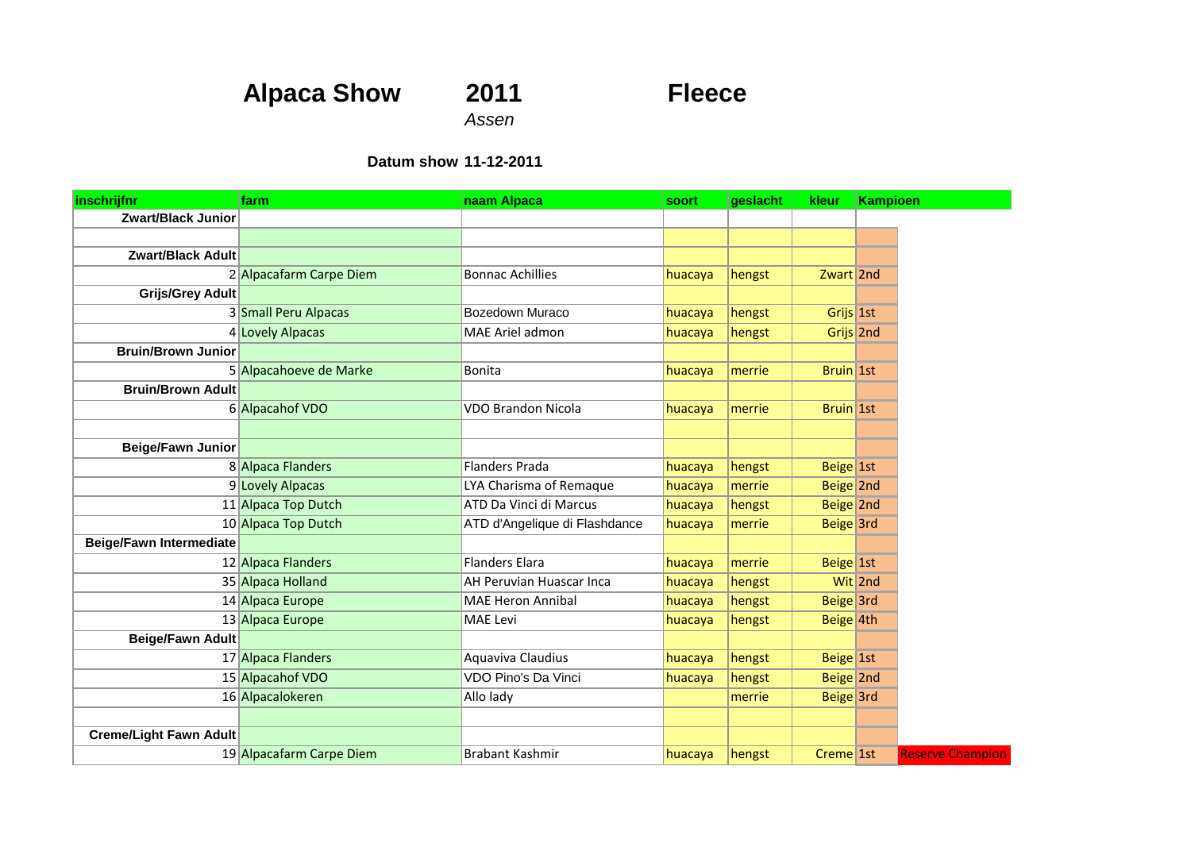# **Alpaca Show 2011 Fleece**

*Assen*

#### **Datum show 11-12-2011**

| inschrijfnr                    | farm                     | naam Alpaca                   | soort   | geslacht | kleur                 | <b>Kampioen</b>         |
|--------------------------------|--------------------------|-------------------------------|---------|----------|-----------------------|-------------------------|
| <b>Zwart/Black Junior</b>      |                          |                               |         |          |                       |                         |
|                                |                          |                               |         |          |                       |                         |
| <b>Zwart/Black Adult</b>       |                          |                               |         |          |                       |                         |
|                                | 2 Alpacafarm Carpe Diem  | <b>Bonnac Achillies</b>       | huacaya | hengst   | Zwart 2nd             |                         |
| <b>Grijs/Grey Adult</b>        |                          |                               |         |          |                       |                         |
|                                | 3 Small Peru Alpacas     | Bozedown Muraco               | huacaya | hengst   | Grijs 1st             |                         |
|                                | 4 Lovely Alpacas         | MAE Ariel admon               | huacaya | hengst   | Grijs 2nd             |                         |
| <b>Bruin/Brown Junior</b>      |                          |                               |         |          |                       |                         |
|                                | 5 Alpacahoeve de Marke   | <b>Bonita</b>                 | huacaya | merrie   | Bruin 1st             |                         |
| <b>Bruin/Brown Adult</b>       |                          |                               |         |          |                       |                         |
|                                | 6 Alpacahof VDO          | <b>VDO Brandon Nicola</b>     | huacaya | merrie   | Bruin 1st             |                         |
|                                |                          |                               |         |          |                       |                         |
| <b>Beige/Fawn Junior</b>       |                          |                               |         |          |                       |                         |
|                                | 8 Alpaca Flanders        | <b>Flanders Prada</b>         | huacaya | hengst   | Beige 1st             |                         |
|                                | 9 Lovely Alpacas         | LYA Charisma of Remaque       | huacaya | merrie   | Beige 2nd             |                         |
|                                | 11 Alpaca Top Dutch      | ATD Da Vinci di Marcus        | huacaya | hengst   | Beige 2nd             |                         |
|                                | 10 Alpaca Top Dutch      | ATD d'Angelique di Flashdance | huacaya | merrie   | Beige 3rd             |                         |
| <b>Beige/Fawn Intermediate</b> |                          |                               |         |          |                       |                         |
|                                | 12 Alpaca Flanders       | <b>Flanders Elara</b>         | huacaya | merrie   | Beige 1st             |                         |
|                                | 35 Alpaca Holland        | AH Peruvian Huascar Inca      | huacaya | hengst   |                       | Wit 2nd                 |
|                                | 14 Alpaca Europe         | <b>MAE Heron Annibal</b>      | huacaya | hengst   | Beige 3rd             |                         |
|                                | 13 Alpaca Europe         | MAE Levi                      | huacaya | hengst   | Beige 4th             |                         |
| <b>Beige/Fawn Adult</b>        |                          |                               |         |          |                       |                         |
|                                | 17 Alpaca Flanders       | Aquaviva Claudius             | huacaya | hengst   | $Beige$  1st          |                         |
|                                | 15 Alpacahof VDO         | VDO Pino's Da Vinci           | huacaya | hengst   | Beige 2nd             |                         |
|                                | 16 Alpacalokeren         | Allo lady                     |         | merrie   | Beige 3rd             |                         |
|                                |                          |                               |         |          |                       |                         |
| <b>Creme/Light Fawn Adult</b>  |                          |                               |         |          |                       |                         |
|                                | 19 Alpacafarm Carpe Diem | <b>Brabant Kashmir</b>        | huacaya | hengst   | Creme <sup>1</sup> st | <b>Reserve Champion</b> |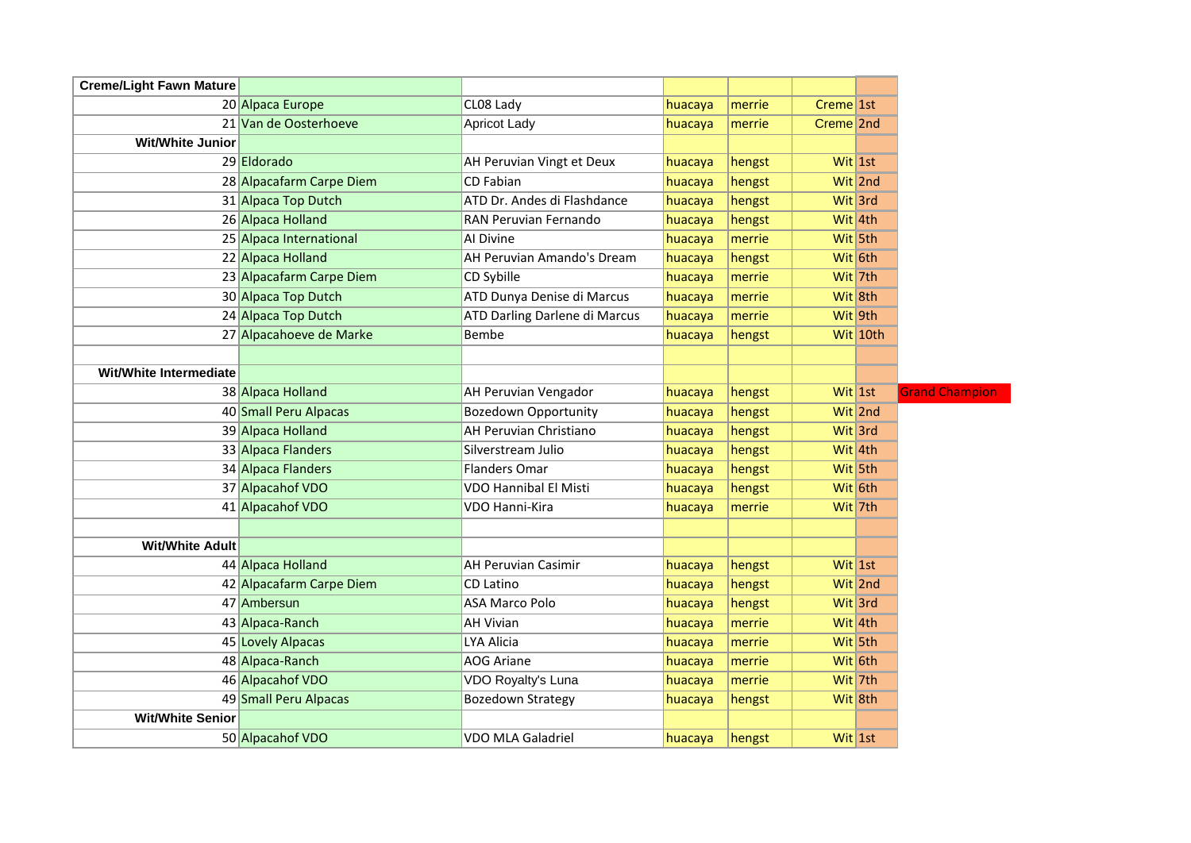| <b>Creme/Light Fawn Mature</b><br>CL08 Lady<br>$C$ reme $1$ st<br>20 Alpaca Europe<br>merrie<br>huacaya<br>21 Van de Oosterhoeve<br><b>Apricot Lady</b><br>Creme <sup>2nd</sup><br>huacaya<br>merrie<br><b>Wit/White Junior</b><br>29 Eldorado<br>AH Peruvian Vingt et Deux<br>Wit 1st<br>hengst<br>huacaya<br>28 Alpacafarm Carpe Diem<br>CD Fabian<br>Wit 2nd<br>huacaya<br>hengst<br>31 Alpaca Top Dutch<br>ATD Dr. Andes di Flashdance<br>Wit 3rd<br>huacaya<br>hengst<br>26 Alpaca Holland<br>RAN Peruvian Fernando<br>Wit 4th<br>huacaya<br>hengst<br>25 Alpaca International<br>Al Divine<br>Wit 5th<br>huacaya<br>merrie<br>22 Alpaca Holland<br>AH Peruvian Amando's Dream<br>hengst<br>Wit 6th<br>huacaya<br>23 Alpacafarm Carpe Diem<br>CD Sybille<br>Wit 7th<br>huacaya<br>merrie<br>30 Alpaca Top Dutch<br>ATD Dunya Denise di Marcus<br>huacaya<br>Wit 8th<br>merrie<br>24 Alpaca Top Dutch<br>ATD Darling Darlene di Marcus<br>Wit 9th<br>huacaya<br>merrie<br>27 Alpacahoeve de Marke<br><b>Bembe</b><br>Wit 10th<br>huacaya<br>hengst<br>Wit/White Intermediate<br>38 Alpaca Holland<br>AH Peruvian Vengador<br>Wit 1st<br>huacaya<br>hengst<br>40 Small Peru Alpacas<br><b>Bozedown Opportunity</b><br>Wit 2nd<br>huacaya<br>hengst<br>39 Alpaca Holland<br>AH Peruvian Christiano<br>Wit 3rd<br>huacaya<br>hengst<br>33 Alpaca Flanders<br>Silverstream Julio<br>Wit 4th<br>huacaya<br>hengst<br>34 Alpaca Flanders<br>Flanders Omar<br>hengst<br>Wit 5th<br>huacaya<br>37 Alpacahof VDO<br><b>VDO Hannibal El Misti</b><br>Wit 6th<br>huacaya<br>hengst<br>41 Alpacahof VDO<br>VDO Hanni-Kira<br>Wit 7th<br>huacaya<br>merrie<br><b>Wit/White Adult</b><br>44 Alpaca Holland<br>Wit $1st$<br>AH Peruvian Casimir<br>hengst<br>huacaya<br>42 Alpacafarm Carpe Diem<br>CD Latino<br>Wit 2nd<br>huacaya<br>hengst<br>47 Ambersun<br><b>ASA Marco Polo</b><br>hengst<br>Wit 3rd<br>huacaya<br>43 Alpaca-Ranch<br><b>AH Vivian</b><br>Wit $4th$<br>huacaya<br>merrie<br>LYA Alicia<br>45 Lovely Alpacas<br>Wit 5th<br>huacaya<br>merrie<br>48 Alpaca-Ranch<br><b>AOG Ariane</b><br>Wit 6th<br>huacaya<br>merrie<br>46 Alpacahof VDO<br>VDO Royalty's Luna<br>Wit 7th<br>huacaya<br>merrie<br>49 Small Peru Alpacas<br><b>Bozedown Strategy</b><br>hengst<br>Wit 8th<br>huacaya<br><b>Wit/White Senior</b><br>Wit 1st<br>50 Alpacahof VDO<br>VDO MLA Galadriel<br>hengst<br>huacaya |  |  |  |  |
|---------------------------------------------------------------------------------------------------------------------------------------------------------------------------------------------------------------------------------------------------------------------------------------------------------------------------------------------------------------------------------------------------------------------------------------------------------------------------------------------------------------------------------------------------------------------------------------------------------------------------------------------------------------------------------------------------------------------------------------------------------------------------------------------------------------------------------------------------------------------------------------------------------------------------------------------------------------------------------------------------------------------------------------------------------------------------------------------------------------------------------------------------------------------------------------------------------------------------------------------------------------------------------------------------------------------------------------------------------------------------------------------------------------------------------------------------------------------------------------------------------------------------------------------------------------------------------------------------------------------------------------------------------------------------------------------------------------------------------------------------------------------------------------------------------------------------------------------------------------------------------------------------------------------------------------------------------------------------------------------------------------------------------------------------------------------------------------------------------------------------------------------------------------------------------------------------------------------------------------------------------------------------------------------------------------------------------------------------------------------------------------------------|--|--|--|--|
|                                                                                                                                                                                                                                                                                                                                                                                                                                                                                                                                                                                                                                                                                                                                                                                                                                                                                                                                                                                                                                                                                                                                                                                                                                                                                                                                                                                                                                                                                                                                                                                                                                                                                                                                                                                                                                                                                                                                                                                                                                                                                                                                                                                                                                                                                                                                                                                                   |  |  |  |  |
|                                                                                                                                                                                                                                                                                                                                                                                                                                                                                                                                                                                                                                                                                                                                                                                                                                                                                                                                                                                                                                                                                                                                                                                                                                                                                                                                                                                                                                                                                                                                                                                                                                                                                                                                                                                                                                                                                                                                                                                                                                                                                                                                                                                                                                                                                                                                                                                                   |  |  |  |  |
|                                                                                                                                                                                                                                                                                                                                                                                                                                                                                                                                                                                                                                                                                                                                                                                                                                                                                                                                                                                                                                                                                                                                                                                                                                                                                                                                                                                                                                                                                                                                                                                                                                                                                                                                                                                                                                                                                                                                                                                                                                                                                                                                                                                                                                                                                                                                                                                                   |  |  |  |  |
|                                                                                                                                                                                                                                                                                                                                                                                                                                                                                                                                                                                                                                                                                                                                                                                                                                                                                                                                                                                                                                                                                                                                                                                                                                                                                                                                                                                                                                                                                                                                                                                                                                                                                                                                                                                                                                                                                                                                                                                                                                                                                                                                                                                                                                                                                                                                                                                                   |  |  |  |  |
|                                                                                                                                                                                                                                                                                                                                                                                                                                                                                                                                                                                                                                                                                                                                                                                                                                                                                                                                                                                                                                                                                                                                                                                                                                                                                                                                                                                                                                                                                                                                                                                                                                                                                                                                                                                                                                                                                                                                                                                                                                                                                                                                                                                                                                                                                                                                                                                                   |  |  |  |  |
|                                                                                                                                                                                                                                                                                                                                                                                                                                                                                                                                                                                                                                                                                                                                                                                                                                                                                                                                                                                                                                                                                                                                                                                                                                                                                                                                                                                                                                                                                                                                                                                                                                                                                                                                                                                                                                                                                                                                                                                                                                                                                                                                                                                                                                                                                                                                                                                                   |  |  |  |  |
|                                                                                                                                                                                                                                                                                                                                                                                                                                                                                                                                                                                                                                                                                                                                                                                                                                                                                                                                                                                                                                                                                                                                                                                                                                                                                                                                                                                                                                                                                                                                                                                                                                                                                                                                                                                                                                                                                                                                                                                                                                                                                                                                                                                                                                                                                                                                                                                                   |  |  |  |  |
|                                                                                                                                                                                                                                                                                                                                                                                                                                                                                                                                                                                                                                                                                                                                                                                                                                                                                                                                                                                                                                                                                                                                                                                                                                                                                                                                                                                                                                                                                                                                                                                                                                                                                                                                                                                                                                                                                                                                                                                                                                                                                                                                                                                                                                                                                                                                                                                                   |  |  |  |  |
|                                                                                                                                                                                                                                                                                                                                                                                                                                                                                                                                                                                                                                                                                                                                                                                                                                                                                                                                                                                                                                                                                                                                                                                                                                                                                                                                                                                                                                                                                                                                                                                                                                                                                                                                                                                                                                                                                                                                                                                                                                                                                                                                                                                                                                                                                                                                                                                                   |  |  |  |  |
|                                                                                                                                                                                                                                                                                                                                                                                                                                                                                                                                                                                                                                                                                                                                                                                                                                                                                                                                                                                                                                                                                                                                                                                                                                                                                                                                                                                                                                                                                                                                                                                                                                                                                                                                                                                                                                                                                                                                                                                                                                                                                                                                                                                                                                                                                                                                                                                                   |  |  |  |  |
|                                                                                                                                                                                                                                                                                                                                                                                                                                                                                                                                                                                                                                                                                                                                                                                                                                                                                                                                                                                                                                                                                                                                                                                                                                                                                                                                                                                                                                                                                                                                                                                                                                                                                                                                                                                                                                                                                                                                                                                                                                                                                                                                                                                                                                                                                                                                                                                                   |  |  |  |  |
|                                                                                                                                                                                                                                                                                                                                                                                                                                                                                                                                                                                                                                                                                                                                                                                                                                                                                                                                                                                                                                                                                                                                                                                                                                                                                                                                                                                                                                                                                                                                                                                                                                                                                                                                                                                                                                                                                                                                                                                                                                                                                                                                                                                                                                                                                                                                                                                                   |  |  |  |  |
|                                                                                                                                                                                                                                                                                                                                                                                                                                                                                                                                                                                                                                                                                                                                                                                                                                                                                                                                                                                                                                                                                                                                                                                                                                                                                                                                                                                                                                                                                                                                                                                                                                                                                                                                                                                                                                                                                                                                                                                                                                                                                                                                                                                                                                                                                                                                                                                                   |  |  |  |  |
|                                                                                                                                                                                                                                                                                                                                                                                                                                                                                                                                                                                                                                                                                                                                                                                                                                                                                                                                                                                                                                                                                                                                                                                                                                                                                                                                                                                                                                                                                                                                                                                                                                                                                                                                                                                                                                                                                                                                                                                                                                                                                                                                                                                                                                                                                                                                                                                                   |  |  |  |  |
|                                                                                                                                                                                                                                                                                                                                                                                                                                                                                                                                                                                                                                                                                                                                                                                                                                                                                                                                                                                                                                                                                                                                                                                                                                                                                                                                                                                                                                                                                                                                                                                                                                                                                                                                                                                                                                                                                                                                                                                                                                                                                                                                                                                                                                                                                                                                                                                                   |  |  |  |  |
|                                                                                                                                                                                                                                                                                                                                                                                                                                                                                                                                                                                                                                                                                                                                                                                                                                                                                                                                                                                                                                                                                                                                                                                                                                                                                                                                                                                                                                                                                                                                                                                                                                                                                                                                                                                                                                                                                                                                                                                                                                                                                                                                                                                                                                                                                                                                                                                                   |  |  |  |  |
|                                                                                                                                                                                                                                                                                                                                                                                                                                                                                                                                                                                                                                                                                                                                                                                                                                                                                                                                                                                                                                                                                                                                                                                                                                                                                                                                                                                                                                                                                                                                                                                                                                                                                                                                                                                                                                                                                                                                                                                                                                                                                                                                                                                                                                                                                                                                                                                                   |  |  |  |  |
|                                                                                                                                                                                                                                                                                                                                                                                                                                                                                                                                                                                                                                                                                                                                                                                                                                                                                                                                                                                                                                                                                                                                                                                                                                                                                                                                                                                                                                                                                                                                                                                                                                                                                                                                                                                                                                                                                                                                                                                                                                                                                                                                                                                                                                                                                                                                                                                                   |  |  |  |  |
|                                                                                                                                                                                                                                                                                                                                                                                                                                                                                                                                                                                                                                                                                                                                                                                                                                                                                                                                                                                                                                                                                                                                                                                                                                                                                                                                                                                                                                                                                                                                                                                                                                                                                                                                                                                                                                                                                                                                                                                                                                                                                                                                                                                                                                                                                                                                                                                                   |  |  |  |  |
|                                                                                                                                                                                                                                                                                                                                                                                                                                                                                                                                                                                                                                                                                                                                                                                                                                                                                                                                                                                                                                                                                                                                                                                                                                                                                                                                                                                                                                                                                                                                                                                                                                                                                                                                                                                                                                                                                                                                                                                                                                                                                                                                                                                                                                                                                                                                                                                                   |  |  |  |  |
|                                                                                                                                                                                                                                                                                                                                                                                                                                                                                                                                                                                                                                                                                                                                                                                                                                                                                                                                                                                                                                                                                                                                                                                                                                                                                                                                                                                                                                                                                                                                                                                                                                                                                                                                                                                                                                                                                                                                                                                                                                                                                                                                                                                                                                                                                                                                                                                                   |  |  |  |  |
|                                                                                                                                                                                                                                                                                                                                                                                                                                                                                                                                                                                                                                                                                                                                                                                                                                                                                                                                                                                                                                                                                                                                                                                                                                                                                                                                                                                                                                                                                                                                                                                                                                                                                                                                                                                                                                                                                                                                                                                                                                                                                                                                                                                                                                                                                                                                                                                                   |  |  |  |  |
|                                                                                                                                                                                                                                                                                                                                                                                                                                                                                                                                                                                                                                                                                                                                                                                                                                                                                                                                                                                                                                                                                                                                                                                                                                                                                                                                                                                                                                                                                                                                                                                                                                                                                                                                                                                                                                                                                                                                                                                                                                                                                                                                                                                                                                                                                                                                                                                                   |  |  |  |  |
|                                                                                                                                                                                                                                                                                                                                                                                                                                                                                                                                                                                                                                                                                                                                                                                                                                                                                                                                                                                                                                                                                                                                                                                                                                                                                                                                                                                                                                                                                                                                                                                                                                                                                                                                                                                                                                                                                                                                                                                                                                                                                                                                                                                                                                                                                                                                                                                                   |  |  |  |  |
|                                                                                                                                                                                                                                                                                                                                                                                                                                                                                                                                                                                                                                                                                                                                                                                                                                                                                                                                                                                                                                                                                                                                                                                                                                                                                                                                                                                                                                                                                                                                                                                                                                                                                                                                                                                                                                                                                                                                                                                                                                                                                                                                                                                                                                                                                                                                                                                                   |  |  |  |  |
|                                                                                                                                                                                                                                                                                                                                                                                                                                                                                                                                                                                                                                                                                                                                                                                                                                                                                                                                                                                                                                                                                                                                                                                                                                                                                                                                                                                                                                                                                                                                                                                                                                                                                                                                                                                                                                                                                                                                                                                                                                                                                                                                                                                                                                                                                                                                                                                                   |  |  |  |  |
|                                                                                                                                                                                                                                                                                                                                                                                                                                                                                                                                                                                                                                                                                                                                                                                                                                                                                                                                                                                                                                                                                                                                                                                                                                                                                                                                                                                                                                                                                                                                                                                                                                                                                                                                                                                                                                                                                                                                                                                                                                                                                                                                                                                                                                                                                                                                                                                                   |  |  |  |  |
|                                                                                                                                                                                                                                                                                                                                                                                                                                                                                                                                                                                                                                                                                                                                                                                                                                                                                                                                                                                                                                                                                                                                                                                                                                                                                                                                                                                                                                                                                                                                                                                                                                                                                                                                                                                                                                                                                                                                                                                                                                                                                                                                                                                                                                                                                                                                                                                                   |  |  |  |  |
|                                                                                                                                                                                                                                                                                                                                                                                                                                                                                                                                                                                                                                                                                                                                                                                                                                                                                                                                                                                                                                                                                                                                                                                                                                                                                                                                                                                                                                                                                                                                                                                                                                                                                                                                                                                                                                                                                                                                                                                                                                                                                                                                                                                                                                                                                                                                                                                                   |  |  |  |  |
|                                                                                                                                                                                                                                                                                                                                                                                                                                                                                                                                                                                                                                                                                                                                                                                                                                                                                                                                                                                                                                                                                                                                                                                                                                                                                                                                                                                                                                                                                                                                                                                                                                                                                                                                                                                                                                                                                                                                                                                                                                                                                                                                                                                                                                                                                                                                                                                                   |  |  |  |  |
|                                                                                                                                                                                                                                                                                                                                                                                                                                                                                                                                                                                                                                                                                                                                                                                                                                                                                                                                                                                                                                                                                                                                                                                                                                                                                                                                                                                                                                                                                                                                                                                                                                                                                                                                                                                                                                                                                                                                                                                                                                                                                                                                                                                                                                                                                                                                                                                                   |  |  |  |  |
|                                                                                                                                                                                                                                                                                                                                                                                                                                                                                                                                                                                                                                                                                                                                                                                                                                                                                                                                                                                                                                                                                                                                                                                                                                                                                                                                                                                                                                                                                                                                                                                                                                                                                                                                                                                                                                                                                                                                                                                                                                                                                                                                                                                                                                                                                                                                                                                                   |  |  |  |  |
|                                                                                                                                                                                                                                                                                                                                                                                                                                                                                                                                                                                                                                                                                                                                                                                                                                                                                                                                                                                                                                                                                                                                                                                                                                                                                                                                                                                                                                                                                                                                                                                                                                                                                                                                                                                                                                                                                                                                                                                                                                                                                                                                                                                                                                                                                                                                                                                                   |  |  |  |  |
|                                                                                                                                                                                                                                                                                                                                                                                                                                                                                                                                                                                                                                                                                                                                                                                                                                                                                                                                                                                                                                                                                                                                                                                                                                                                                                                                                                                                                                                                                                                                                                                                                                                                                                                                                                                                                                                                                                                                                                                                                                                                                                                                                                                                                                                                                                                                                                                                   |  |  |  |  |
|                                                                                                                                                                                                                                                                                                                                                                                                                                                                                                                                                                                                                                                                                                                                                                                                                                                                                                                                                                                                                                                                                                                                                                                                                                                                                                                                                                                                                                                                                                                                                                                                                                                                                                                                                                                                                                                                                                                                                                                                                                                                                                                                                                                                                                                                                                                                                                                                   |  |  |  |  |